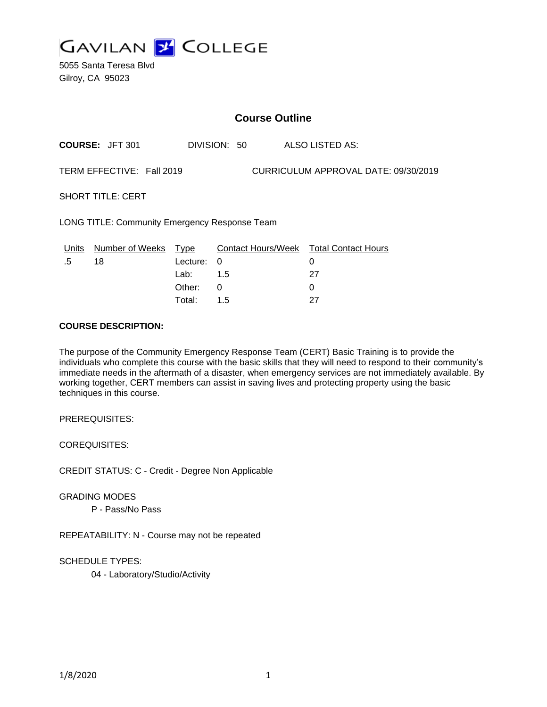

5055 Santa Teresa Blvd Gilroy, CA 95023

| <b>Course Outline</b>                                             |                        |          |              |                                        |
|-------------------------------------------------------------------|------------------------|----------|--------------|----------------------------------------|
|                                                                   | <b>COURSE: JFT 301</b> |          | DIVISION: 50 | ALSO LISTED AS:                        |
| TERM EFFECTIVE: Fall 2019<br>CURRICULUM APPROVAL DATE: 09/30/2019 |                        |          |              |                                        |
| <b>SHORT TITLE: CERT</b>                                          |                        |          |              |                                        |
| <b>LONG TITLE: Community Emergency Response Team</b>              |                        |          |              |                                        |
| Units                                                             | Number of Weeks        | Type     |              | Contact Hours/Week Total Contact Hours |
| .5                                                                | 18                     | Lecture: | 0            | 0                                      |
|                                                                   |                        | Lab:     | 1.5          | 27                                     |
|                                                                   |                        | Other:   | 0            | 0                                      |
|                                                                   |                        | Total:   | 1.5          | 27                                     |

### **COURSE DESCRIPTION:**

The purpose of the Community Emergency Response Team (CERT) Basic Training is to provide the individuals who complete this course with the basic skills that they will need to respond to their community's immediate needs in the aftermath of a disaster, when emergency services are not immediately available. By working together, CERT members can assist in saving lives and protecting property using the basic techniques in this course.

PREREQUISITES:

COREQUISITES:

CREDIT STATUS: C - Credit - Degree Non Applicable

GRADING MODES

P - Pass/No Pass

REPEATABILITY: N - Course may not be repeated

SCHEDULE TYPES:

04 - Laboratory/Studio/Activity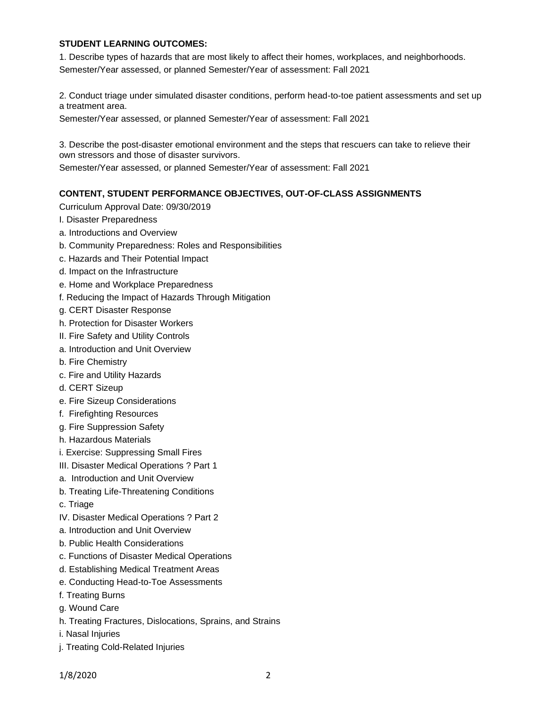### **STUDENT LEARNING OUTCOMES:**

1. Describe types of hazards that are most likely to affect their homes, workplaces, and neighborhoods. Semester/Year assessed, or planned Semester/Year of assessment: Fall 2021

2. Conduct triage under simulated disaster conditions, perform head-to-toe patient assessments and set up a treatment area.

Semester/Year assessed, or planned Semester/Year of assessment: Fall 2021

3. Describe the post-disaster emotional environment and the steps that rescuers can take to relieve their own stressors and those of disaster survivors.

Semester/Year assessed, or planned Semester/Year of assessment: Fall 2021

#### **CONTENT, STUDENT PERFORMANCE OBJECTIVES, OUT-OF-CLASS ASSIGNMENTS**

Curriculum Approval Date: 09/30/2019

- I. Disaster Preparedness
- a. Introductions and Overview
- b. Community Preparedness: Roles and Responsibilities
- c. Hazards and Their Potential Impact
- d. Impact on the Infrastructure
- e. Home and Workplace Preparedness
- f. Reducing the Impact of Hazards Through Mitigation
- g. CERT Disaster Response
- h. Protection for Disaster Workers
- II. Fire Safety and Utility Controls
- a. Introduction and Unit Overview
- b. Fire Chemistry
- c. Fire and Utility Hazards
- d. CERT Sizeup
- e. Fire Sizeup Considerations
- f. Firefighting Resources
- g. Fire Suppression Safety
- h. Hazardous Materials
- i. Exercise: Suppressing Small Fires
- III. Disaster Medical Operations ? Part 1
- a. Introduction and Unit Overview
- b. Treating Life-Threatening Conditions
- c. Triage
- IV. Disaster Medical Operations ? Part 2
- a. Introduction and Unit Overview
- b. Public Health Considerations
- c. Functions of Disaster Medical Operations
- d. Establishing Medical Treatment Areas
- e. Conducting Head-to-Toe Assessments
- f. Treating Burns
- g. Wound Care
- h. Treating Fractures, Dislocations, Sprains, and Strains
- i. Nasal Injuries
- j. Treating Cold-Related Injuries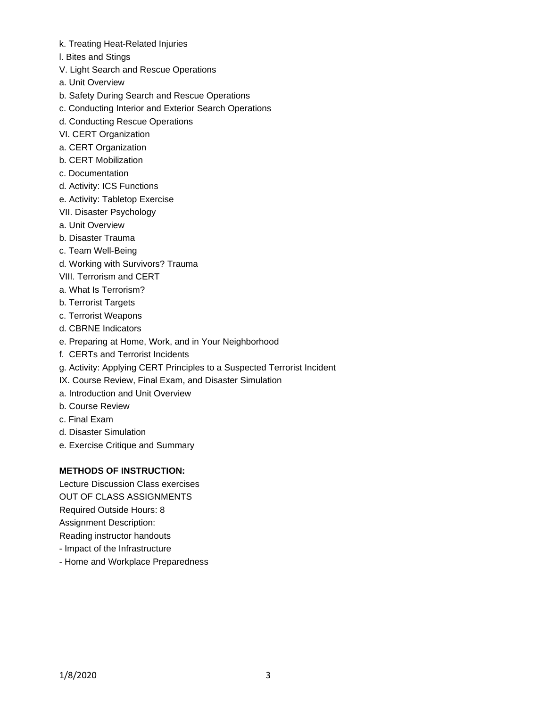- k. Treating Heat-Related Injuries
- l. Bites and Stings
- V. Light Search and Rescue Operations
- a. Unit Overview
- b. Safety During Search and Rescue Operations
- c. Conducting Interior and Exterior Search Operations
- d. Conducting Rescue Operations
- VI. CERT Organization
- a. CERT Organization
- b. CERT Mobilization
- c. Documentation
- d. Activity: ICS Functions
- e. Activity: Tabletop Exercise
- VII. Disaster Psychology
- a. Unit Overview
- b. Disaster Trauma
- c. Team Well-Being
- d. Working with Survivors? Trauma
- VIII. Terrorism and CERT
- a. What Is Terrorism?
- b. Terrorist Targets
- c. Terrorist Weapons
- d. CBRNE Indicators
- e. Preparing at Home, Work, and in Your Neighborhood
- f. CERTs and Terrorist Incidents
- g. Activity: Applying CERT Principles to a Suspected Terrorist Incident
- IX. Course Review, Final Exam, and Disaster Simulation
- a. Introduction and Unit Overview
- b. Course Review
- c. Final Exam
- d. Disaster Simulation
- e. Exercise Critique and Summary

# **METHODS OF INSTRUCTION:**

Lecture Discussion Class exercises OUT OF CLASS ASSIGNMENTS Required Outside Hours: 8 Assignment Description: Reading instructor handouts

- Impact of the Infrastructure
- Home and Workplace Preparedness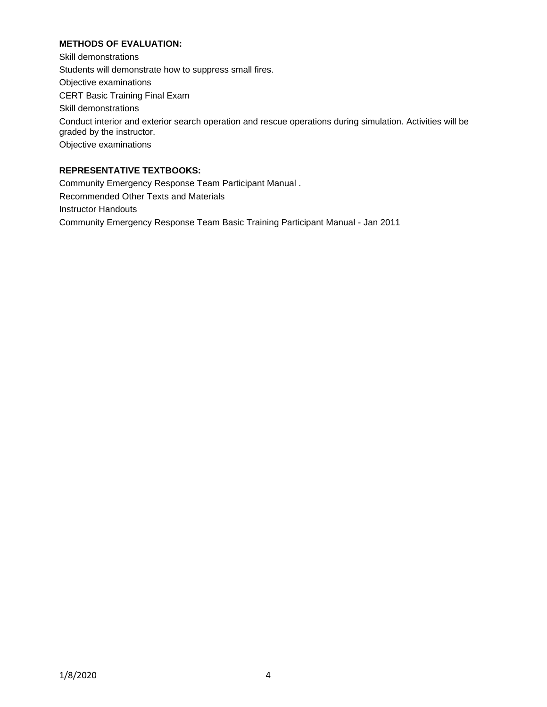# **METHODS OF EVALUATION:**

Skill demonstrations Students will demonstrate how to suppress small fires. Objective examinations CERT Basic Training Final Exam Skill demonstrations Conduct interior and exterior search operation and rescue operations during simulation. Activities will be graded by the instructor. Objective examinations

# **REPRESENTATIVE TEXTBOOKS:**

Community Emergency Response Team Participant Manual . Recommended Other Texts and Materials Instructor Handouts Community Emergency Response Team Basic Training Participant Manual - Jan 2011